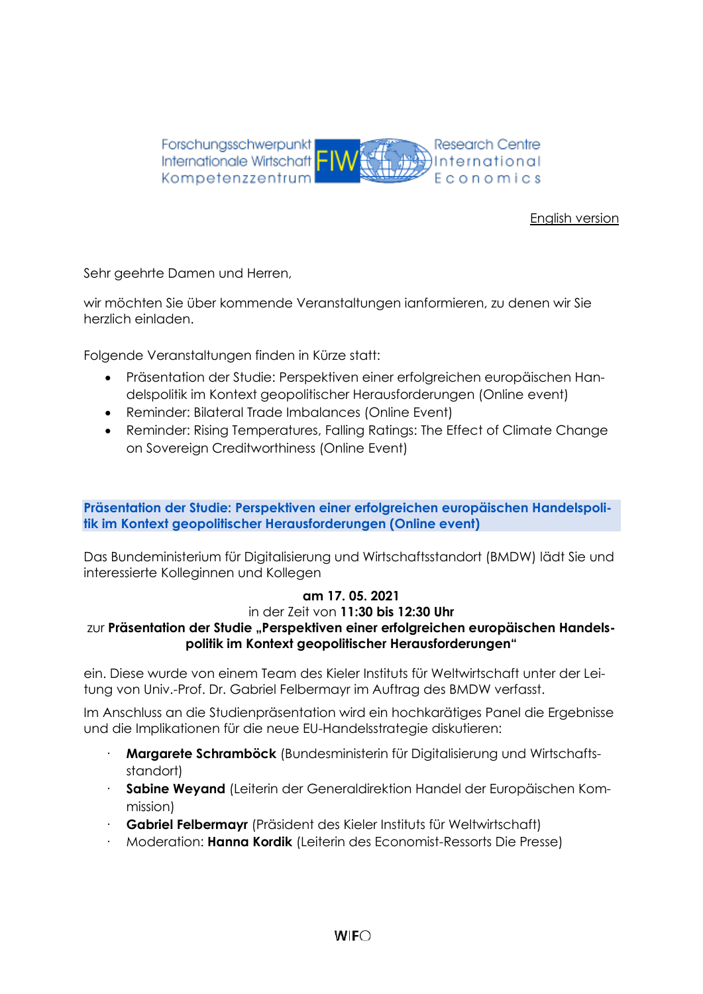

# [English version](#page-3-0)

Sehr geehrte Damen und Herren,

wir möchten Sie über kommende Veranstaltungen ianformieren, zu denen wir Sie herzlich einladen.

Folgende Veranstaltungen finden in Kürze statt:

- Präsentation der Studie: Perspektiven einer erfolgreichen europäischen Handelspolitik im Kontext geopolitischer Herausforderungen (Online event)
- Reminder: Bilateral Trade Imbalances (Online Event)
- Reminder: Rising Temperatures, Falling Ratings: The Effect of Climate Change on Sovereign Creditworthiness (Online Event)

## **Präsentation der Studie: Perspektiven einer erfolgreichen europäischen Handelspolitik im Kontext geopolitischer Herausforderungen (Online event)**

Das Bundeministerium für Digitalisierung und Wirtschaftsstandort (BMDW) lädt Sie und interessierte Kolleginnen und Kollegen

# **am 17. 05. 2021**

### in der Zeit von **11:30 bis 12:30 Uhr**

# zur Präsentation der Studie "Perspektiven einer erfolgreichen europäischen Handels**politik im Kontext geopolitischer Herausforderungen"**

ein. Diese wurde von einem Team des Kieler Instituts für Weltwirtschaft unter der Leitung von Univ.-Prof. Dr. Gabriel Felbermayr im Auftrag des BMDW verfasst.

Im Anschluss an die Studienpräsentation wird ein hochkarätiges Panel die Ergebnisse und die Implikationen für die neue EU-Handelsstrategie diskutieren:

- · **Margarete Schramböck** (Bundesministerin für Digitalisierung und Wirtschaftsstandort)
- · **Sabine Weyand** (Leiterin der Generaldirektion Handel der Europäischen Kommission)
- · **Gabriel Felbermayr** (Präsident des Kieler Instituts für Weltwirtschaft)
- · Moderation: **Hanna Kordik** (Leiterin des Economist-Ressorts Die Presse)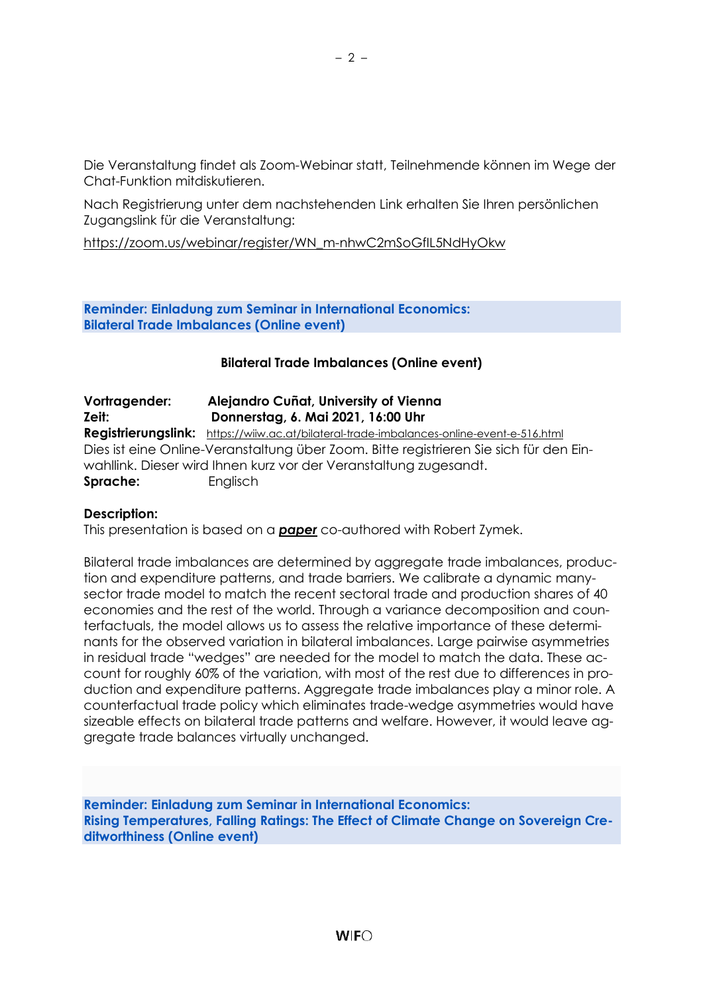Die Veranstaltung findet als Zoom-Webinar statt, Teilnehmende können im Wege der Chat-Funktion mitdiskutieren.

Nach Registrierung unter dem nachstehenden Link erhalten Sie Ihren persönlichen Zugangslink für die Veranstaltung:

[https://zoom.us/webinar/register/WN\\_m-nhwC2mSoGfIL5NdHyOkw](https://zoom.us/webinar/register/WN_m-nhwC2mSoGfIL5NdHyOkw)

**Reminder: Einladung zum Seminar in International Economics: Bilateral Trade Imbalances (Online event)**

# **Bilateral Trade Imbalances (Online event)**

| Vortragender: | Alejandro Cuñat, University of Vienna                                                     |
|---------------|-------------------------------------------------------------------------------------------|
| Zeit:         | Donnerstag, 6. Mai 2021, 16:00 Uhr                                                        |
|               | Registrierungslink: https://wiiw.ac.at/bilateral-trade-imbalances-online-event-e-516.html |
|               | Dies ist eine Online-Veranstaltung über Zoom. Bitte registrieren Sie sich für den Ein-    |
|               | wahllink. Dieser wird Ihnen kurz vor der Veranstaltung zugesandt.                         |
| Sprache:      | Englisch                                                                                  |

### **Description:**

This presentation is based on a *[paper](http://www.zymek.eu/papers.html)* co-authored with Robert Zymek.

Bilateral trade imbalances are determined by aggregate trade imbalances, production and expenditure patterns, and trade barriers. We calibrate a dynamic manysector trade model to match the recent sectoral trade and production shares of 40 economies and the rest of the world. Through a variance decomposition and counterfactuals, the model allows us to assess the relative importance of these determinants for the observed variation in bilateral imbalances. Large pairwise asymmetries in residual trade "wedges" are needed for the model to match the data. These account for roughly 60% of the variation, with most of the rest due to differences in production and expenditure patterns. Aggregate trade imbalances play a minor role. A counterfactual trade policy which eliminates trade-wedge asymmetries would have sizeable effects on bilateral trade patterns and welfare. However, it would leave aggregate trade balances virtually unchanged.

**Reminder: Einladung zum Seminar in International Economics: Rising Temperatures, Falling Ratings: The Effect of Climate Change on Sovereign Creditworthiness (Online event)**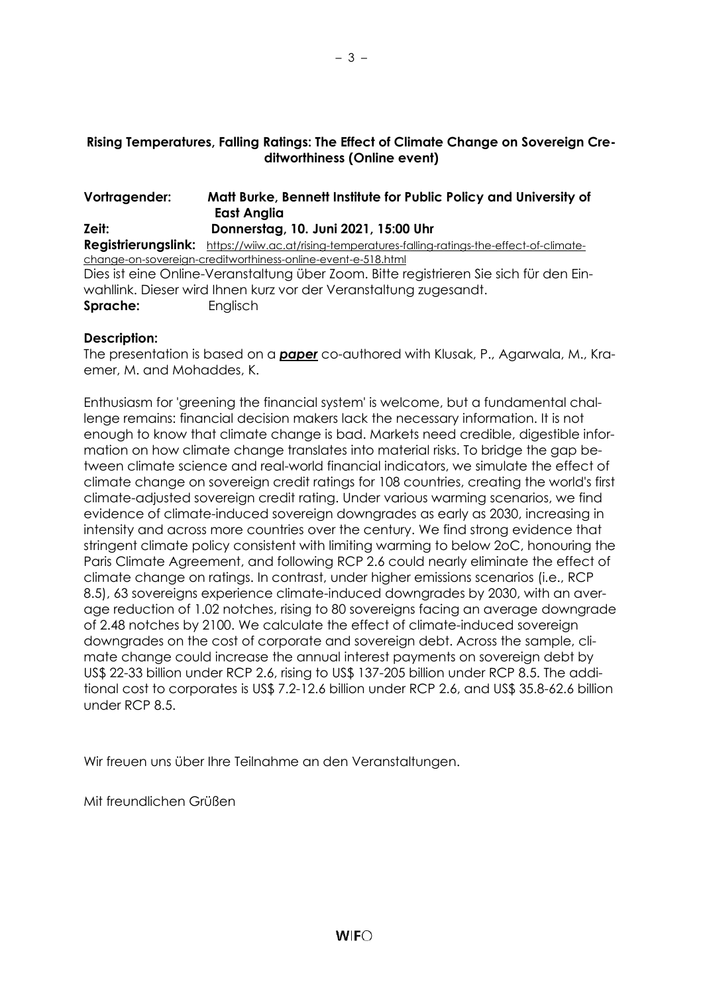# **Rising Temperatures, Falling Ratings: The Effect of Climate Change on Sovereign Creditworthiness (Online event)**

| Vortragender: | Matt Burke, Bennett Institute for Public Policy and University of<br><b>East Anglia</b>           |
|---------------|---------------------------------------------------------------------------------------------------|
| Zeit:         | Donnerstag, 10. Juni 2021, 15:00 Uhr                                                              |
|               | Registrierungslink: https://wiiw.ac.at/rising-temperatures-falling-ratings-the-effect-of-climate- |
|               | change-on-sovereign-creditworthiness-online-event-e-518.html                                      |
|               | Dies ist eine Online-Veranstaltung über Zoom. Bitte registrieren Sie sich für den Ein-            |
|               | wahllink. Dieser wird Ihnen kurz vor der Veranstaltung zugesandt.                                 |
| Sprache:      | Englisch                                                                                          |

# **Description:**

The presentation is based on a *[paper](https://ideas.repec.org/p/cam/camdae/2127.html)* co-authored with Klusak, P., Agarwala, M., Kraemer, M. and Mohaddes, K.

Enthusiasm for 'greening the financial system' is welcome, but a fundamental challenge remains: financial decision makers lack the necessary information. It is not enough to know that climate change is bad. Markets need credible, digestible information on how climate change translates into material risks. To bridge the gap between climate science and real-world financial indicators, we simulate the effect of climate change on sovereign credit ratings for 108 countries, creating the world's first climate-adjusted sovereign credit rating. Under various warming scenarios, we find evidence of climate-induced sovereign downgrades as early as 2030, increasing in intensity and across more countries over the century. We find strong evidence that stringent climate policy consistent with limiting warming to below 2oC, honouring the Paris Climate Agreement, and following RCP 2.6 could nearly eliminate the effect of climate change on ratings. In contrast, under higher emissions scenarios (i.e., RCP 8.5), 63 sovereigns experience climate-induced downgrades by 2030, with an average reduction of 1.02 notches, rising to 80 sovereigns facing an average downgrade of 2.48 notches by 2100. We calculate the effect of climate-induced sovereign downgrades on the cost of corporate and sovereign debt. Across the sample, climate change could increase the annual interest payments on sovereign debt by US\$ 22-33 billion under RCP 2.6, rising to US\$ 137-205 billion under RCP 8.5. The additional cost to corporates is US\$ 7.2-12.6 billion under RCP 2.6, and US\$ 35.8-62.6 billion under RCP 8.5.

Wir freuen uns über Ihre Teilnahme an den Veranstaltungen.

Mit freundlichen Grüßen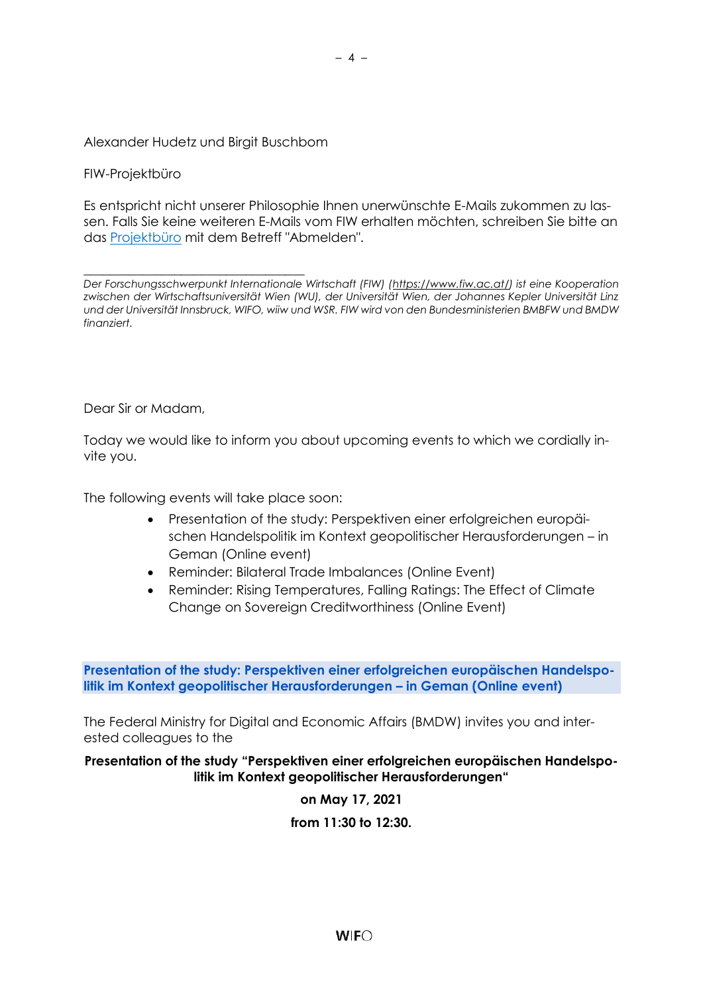## Alexander Hudetz und Birgit Buschbom

FIW-Projektbüro

Es entspricht nicht unserer Philosophie Ihnen unerwünschte E-Mails zukommen zu lassen. Falls Sie keine weiteren E-Mails vom FIW erhalten möchten, schreiben Sie bitte an das [Projektbüro](mailto:fiw-pb@fiw.at) mit dem Betreff "Abmelden".

\_\_\_\_\_\_\_\_\_\_\_\_\_\_\_\_\_\_\_\_\_\_\_\_\_\_\_\_\_\_\_\_\_\_ *Der Forschungsschwerpunkt Internationale Wirtschaft (FIW) [\(https://www.fiw.ac.at/\)](https://www.fiw.ac.at/) ist eine Kooperation zwischen der Wirtschaftsuniversität Wien (WU), der Universität Wien, der Johannes Kepler Universität Linz und der Universität Innsbruck, WIFO, wiiw und WSR. FIW wird von den Bundesministerien BMBFW und BMDW finanziert.*

<span id="page-3-0"></span>Dear Sir or Madam,

Today we would like to inform you about upcoming events to which we cordially invite you.

The following events will take place soon:

- Presentation of the study: Perspektiven einer erfolgreichen europäischen Handelspolitik im Kontext geopolitischer Herausforderungen – in Geman (Online event)
- Reminder: Bilateral Trade Imbalances (Online Event)
- Reminder: Rising Temperatures, Falling Ratings: The Effect of Climate Change on Sovereign Creditworthiness (Online Event)

**Presentation of the study: Perspektiven einer erfolgreichen europäischen Handelspolitik im Kontext geopolitischer Herausforderungen – in Geman (Online event)**

The Federal Ministry for Digital and Economic Affairs (BMDW) invites you and interested colleagues to the

**Presentation of the study "Perspektiven einer erfolgreichen europäischen Handelspolitik im Kontext geopolitischer Herausforderungen"**

**on May 17, 2021**

**from 11:30 to 12:30.**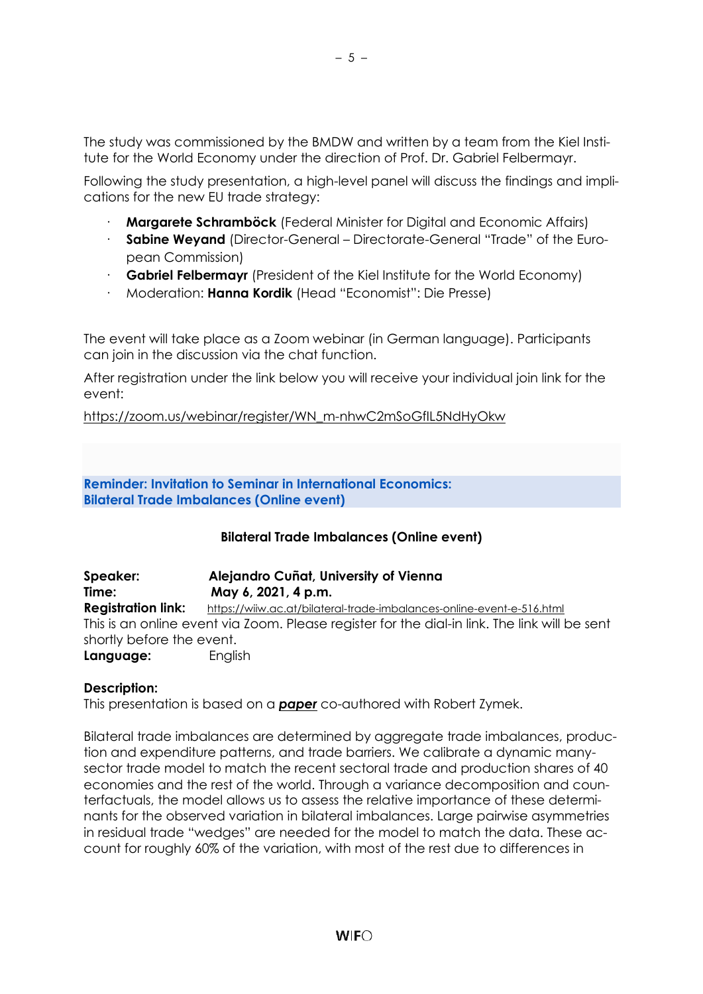The study was commissioned by the BMDW and written by a team from the Kiel Institute for the World Economy under the direction of Prof. Dr. Gabriel Felbermayr.

Following the study presentation, a high-level panel will discuss the findings and implications for the new EU trade strategy:

- · **Margarete Schramböck** (Federal Minister for Digital and Economic Affairs)
- · **Sabine Weyand** (Director-General Directorate-General "Trade" of the European Commission)
- · **Gabriel Felbermayr** (President of the Kiel Institute for the World Economy)
- · Moderation: **Hanna Kordik** (Head "Economist": Die Presse)

The event will take place as a Zoom webinar (in German language). Participants can join in the discussion via the chat function.

After registration under the link below you will receive your individual join link for the event:

[https://zoom.us/webinar/register/WN\\_m-nhwC2mSoGfIL5NdHyOkw](https://zoom.us/webinar/register/WN_m-nhwC2mSoGfIL5NdHyOkw)

**Reminder: Invitation to Seminar in International Economics: Bilateral Trade Imbalances (Online event)**

# **Bilateral Trade Imbalances (Online event)**

**Speaker: Alejandro Cuñat, University of Vienna Time: May 6, 2021, 4 p.m. Registration link:** <https://wiiw.ac.at/bilateral-trade-imbalances-online-event-e-516.html> This is an online event via Zoom. Please register for the dial-in link. The link will be sent shortly before the event. **Language:** English

### **Description:**

This presentation is based on a *[paper](http://www.zymek.eu/papers.html)* co-authored with Robert Zymek.

Bilateral trade imbalances are determined by aggregate trade imbalances, production and expenditure patterns, and trade barriers. We calibrate a dynamic manysector trade model to match the recent sectoral trade and production shares of 40 economies and the rest of the world. Through a variance decomposition and counterfactuals, the model allows us to assess the relative importance of these determinants for the observed variation in bilateral imbalances. Large pairwise asymmetries in residual trade "wedges" are needed for the model to match the data. These account for roughly 60% of the variation, with most of the rest due to differences in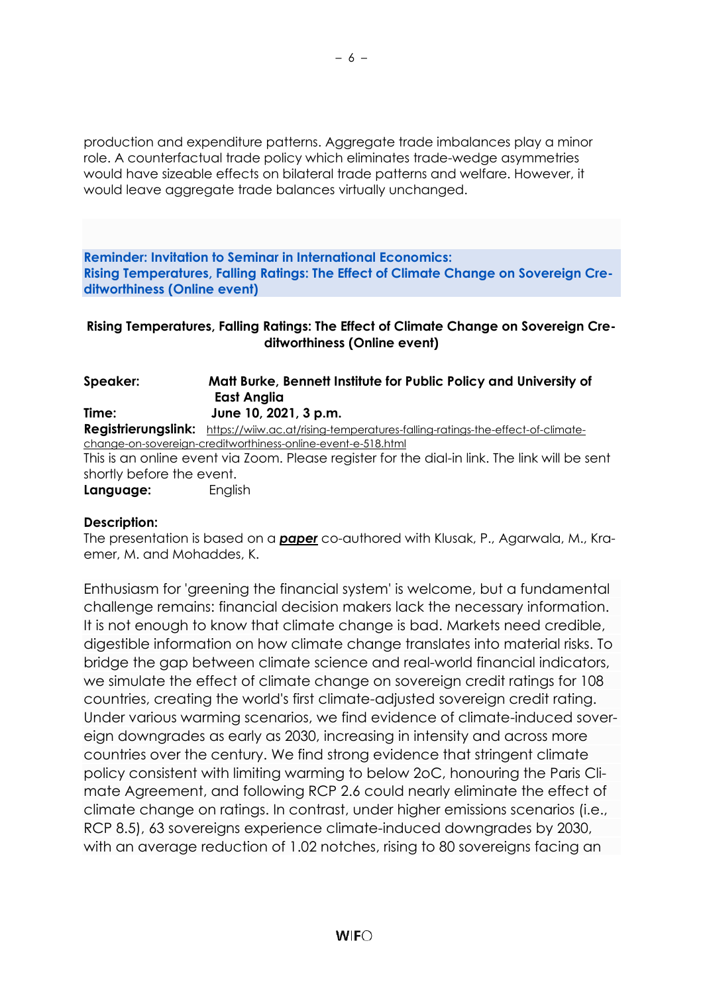production and expenditure patterns. Aggregate trade imbalances play a minor role. A counterfactual trade policy which eliminates trade-wedge asymmetries would have sizeable effects on bilateral trade patterns and welfare. However, it would leave aggregate trade balances virtually unchanged.

**Reminder: Invitation to Seminar in International Economics: Rising Temperatures, Falling Ratings: The Effect of Climate Change on Sovereign Creditworthiness (Online event)**

## **Rising Temperatures, Falling Ratings: The Effect of Climate Change on Sovereign Creditworthiness (Online event)**

| Speaker:                  | Matt Burke, Bennett Institute for Public Policy and University of                                 |
|---------------------------|---------------------------------------------------------------------------------------------------|
|                           | East Anglia                                                                                       |
| Time:                     | June 10, 2021, 3 p.m.                                                                             |
|                           | Registrierungslink: https://wiiw.ac.at/rising-temperatures-falling-ratings-the-effect-of-climate- |
|                           | change-on-sovereign-creditworthiness-online-event-e-518.html                                      |
|                           | This is an online event via Zoom. Please register for the dial-in link. The link will be sent     |
| shortly before the event. |                                                                                                   |
| Language:                 | English                                                                                           |

### **Description:**

The presentation is based on a *[paper](https://ideas.repec.org/p/cam/camdae/2127.html)* co-authored with Klusak, P., Agarwala, M., Kraemer, M. and Mohaddes, K.

Enthusiasm for 'greening the financial system' is welcome, but a fundamental challenge remains: financial decision makers lack the necessary information. It is not enough to know that climate change is bad. Markets need credible, digestible information on how climate change translates into material risks. To bridge the gap between climate science and real-world financial indicators, we simulate the effect of climate change on sovereign credit ratings for 108 countries, creating the world's first climate-adjusted sovereign credit rating. Under various warming scenarios, we find evidence of climate-induced sovereign downgrades as early as 2030, increasing in intensity and across more countries over the century. We find strong evidence that stringent climate policy consistent with limiting warming to below 2oC, honouring the Paris Climate Agreement, and following RCP 2.6 could nearly eliminate the effect of climate change on ratings. In contrast, under higher emissions scenarios (i.e., RCP 8.5), 63 sovereigns experience climate-induced downgrades by 2030, with an average reduction of 1.02 notches, rising to 80 sovereigns facing an